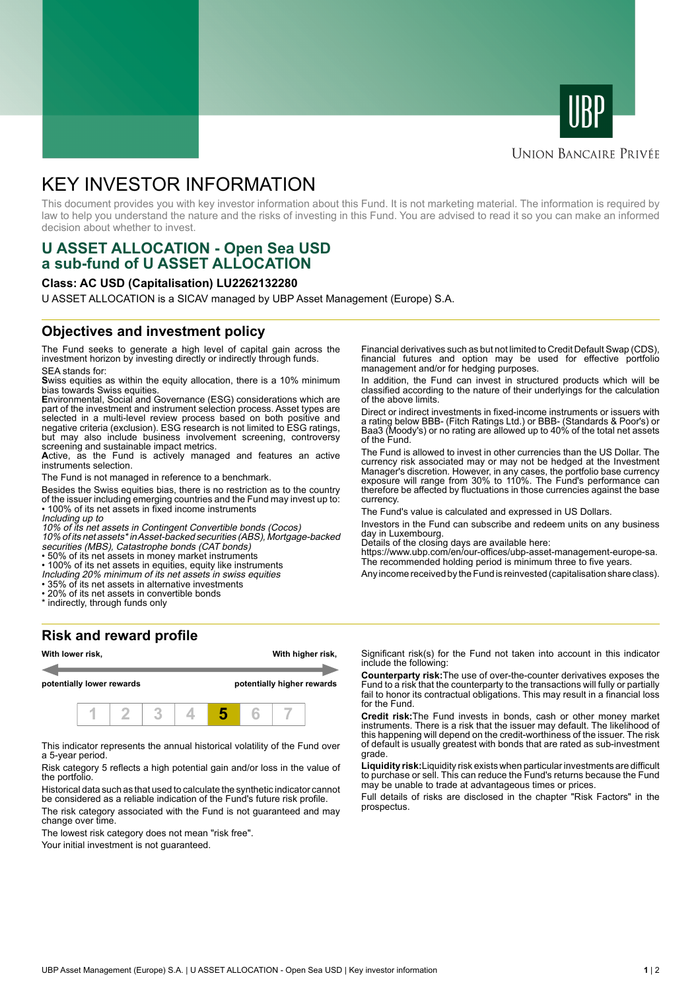



## **UNION BANCAIRE PRIVÉE**

# KEY INVESTOR INFORMATION

This document provides you with key investor information about this Fund. It is not marketing material. The information is required by law to help you understand the nature and the risks of investing in this Fund. You are advised to read it so you can make an informed decision about whether to invest.

# **U ASSET ALLOCATION - Open Sea USD a sub-fund of U ASSET ALLOCATION**

#### **Class: AC USD (Capitalisation) LU2262132280**

U ASSET ALLOCATION is a SICAV managed by UBP Asset Management (Europe) S.A.

### **Objectives and investment policy**

The Fund seeks to generate a high level of capital gain across the investment horizon by investing directly or indirectly through funds. SEA stands for:

**S**wiss equities as within the equity allocation, there is a 10% minimum bias towards Swiss equities.

**E**nvironmental, Social and Governance (ESG) considerations which are part of the investment and instrument selection process. Asset types are selected in a multi-level review process based on both positive and negative criteria (exclusion). ESG research is not limited to ESG ratings, but may also include business involvement screening, controversy screening and sustainable impact metrics.

**A**ctive, as the Fund is actively managed and features an active instruments selection.

The Fund is not managed in reference to a benchmark.

Besides the Swiss equities bias, there is no restriction as to the country of the issuer including emerging countries and the Fund may invest up to: • 100% of its net assets in fixed income instruments

Including up to

10% of its net assets in Contingent Convertible bonds (Cocos)

10% of its net assets\* in Asset-backed securities (ABS), Mortgage-backed securities (MBS), Catastrophe bonds (CAT bonds)

• 50% of its net assets in money market instruments

• 100% of its net assets in equities, equity like instruments

- Including 20% minimum of its net assets in swiss equities
- 35% of its net assets in alternative investments
- 20% of its net assets in convertible bonds
- \* indirectly, through funds only

#### **Risk and reward profile**



This indicator represents the annual historical volatility of the Fund over a 5-year period.

Risk category 5 reflects a high potential gain and/or loss in the value of the portfolio.

Historical data such as that used to calculate the synthetic indicator cannot be considered as a reliable indication of the Fund's future risk profile.

The risk category associated with the Fund is not guaranteed and may change over time.

The lowest risk category does not mean "risk free".

Your initial investment is not guaranteed.

Financial derivatives such as but not limited to Credit Default Swap (CDS), financial futures and option may be used for effective portfolio management and/or for hedging purposes.

In addition, the Fund can invest in structured products which will be classified according to the nature of their underlyings for the calculation of the above limits.

Direct or indirect investments in fixed-income instruments or issuers with a rating below BBB- (Fitch Ratings Ltd.) or BBB- (Standards & Poor's) or Baa3 (Moody's) or no rating are allowed up to 40% of the total net assets of the Fund.

The Fund is allowed to invest in other currencies than the US Dollar. The currency risk associated may or may not be hedged at the Investment Manager's discretion. However, in any cases, the portfolio base currency exposure will range from 30% to 110%. The Fund's performance can therefore be affected by fluctuations in those currencies against the base currency.

The Fund's value is calculated and expressed in US Dollars.

Investors in the Fund can subscribe and redeem units on any business day in Luxembourg.

Details of the closing days are available here:

https://www.ubp.com/en/our-offices/ubp-asset-management-europe-sa. The recommended holding period is minimum three to five years.

Any income received by the Fund is reinvested (capitalisation share class).

Significant risk(s) for the Fund not taken into account in this indicator include the following:

**Counterparty risk:**The use of over-the-counter derivatives exposes the Fund to a risk that the counterparty to the transactions will fully or partially fail to honor its contractual obligations. This may result in a financial loss for the Fund.

**Credit risk:**The Fund invests in bonds, cash or other money market instruments. There is a risk that the issuer may default. The likelihood of this happening will depend on the credit-worthiness of the issuer. The risk of default is usually greatest with bonds that are rated as sub-investment grade.

**Liquidity risk:**Liquidity risk exists when particular investments are difficult to purchase or sell. This can reduce the Fund's returns because the Fund may be unable to trade at advantageous times or prices.

Full details of risks are disclosed in the chapter "Risk Factors" in the prospectus.